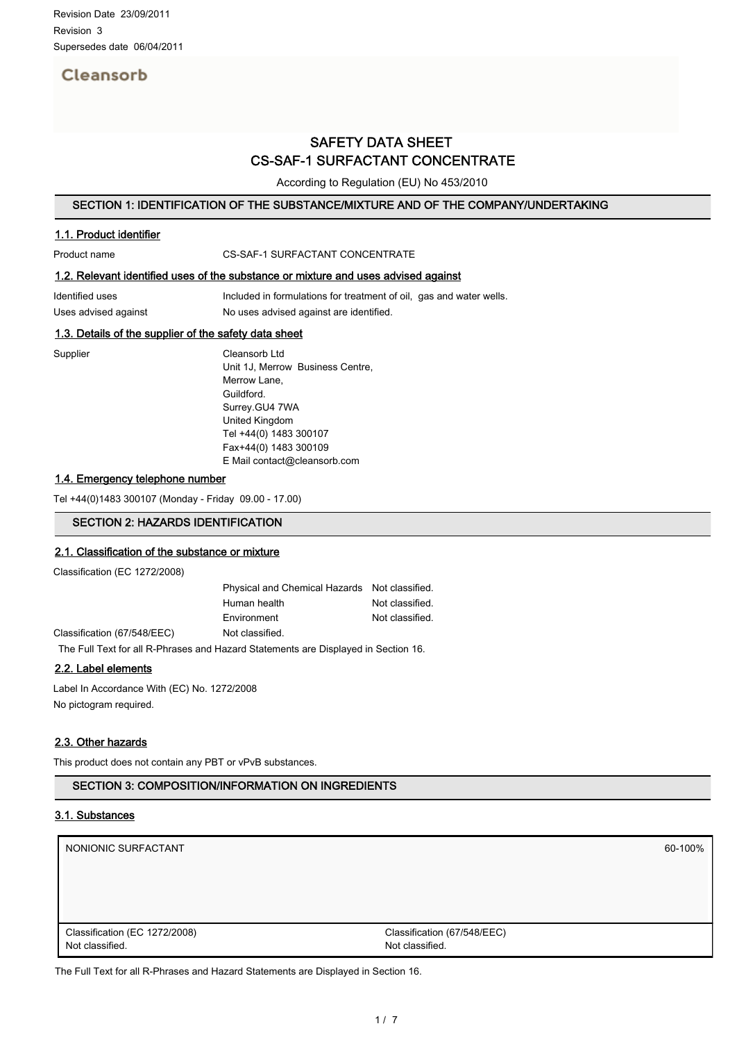# Cleansorb

# SAFETY DATA SHEET CS-SAF-1 SURFACTANT CONCENTRATE

According to Regulation (EU) No 453/2010

## SECTION 1: IDENTIFICATION OF THE SUBSTANCE/MIXTURE AND OF THE COMPANY/UNDERTAKING

## 1.1. Product identifier

Product name CS-SAF-1 SURFACTANT CONCENTRATE

## 1.2. Relevant identified uses of the substance or mixture and uses advised against

Identified uses **Included in formulations for treatment of oil**, gas and water wells. Uses advised against No uses advised against are identified.

## 1.3. Details of the supplier of the safety data sheet

Supplier Cleansorb Ltd Unit 1J, Merrow Business Centre, Merrow Lane, Guildford. Surrey.GU4 7WA United Kingdom Tel +44(0) 1483 300107 Fax+44(0) 1483 300109 E Mail contact@cleansorb.com

#### 1.4. Emergency telephone number

Tel +44(0)1483 300107 (Monday - Friday 09.00 - 17.00)

## SECTION 2: HAZARDS IDENTIFICATION

#### 2.1. Classification of the substance or mixture

Classification (EC 1272/2008)

|                                                                                    | Physical and Chemical Hazards Not classified. |                 |
|------------------------------------------------------------------------------------|-----------------------------------------------|-----------------|
|                                                                                    | Human health                                  |                 |
|                                                                                    | Environment                                   | Not classified. |
| Classification (67/548/EEC)                                                        | Not classified.                               |                 |
| The Full Text for all R-Phrases and Hazard Statements are Displayed in Section 16. |                                               |                 |

#### 2.2. Label elements

Label In Accordance With (EC) No. 1272/2008 No pictogram required.

#### 2.3. Other hazards

This product does not contain any PBT or vPvB substances.

## SECTION 3: COMPOSITION/INFORMATION ON INGREDIENTS

## 3.1. Substances

| NONIONIC SURFACTANT           | 60-100%                     |
|-------------------------------|-----------------------------|
|                               |                             |
|                               |                             |
|                               |                             |
| Classification (EC 1272/2008) | Classification (67/548/EEC) |
| Not classified.               | Not classified.             |

The Full Text for all R-Phrases and Hazard Statements are Displayed in Section 16.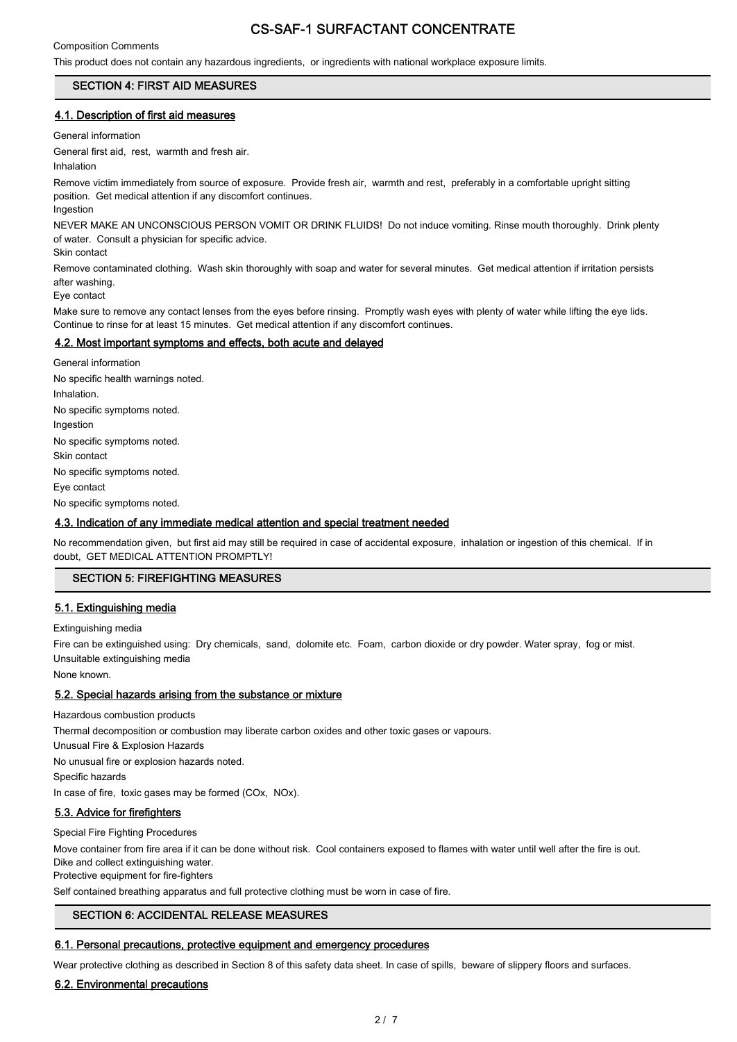## Composition Comments

This product does not contain any hazardous ingredients, or ingredients with national workplace exposure limits.

## SECTION 4: FIRST AID MEASURES

#### 4.1. Description of first aid measures

General information

General first aid, rest, warmth and fresh air.

**Inhalation** 

Remove victim immediately from source of exposure. Provide fresh air, warmth and rest, preferably in a comfortable upright sitting position. Get medical attention if any discomfort continues. Ingestion

NEVER MAKE AN UNCONSCIOUS PERSON VOMIT OR DRINK FLUIDS! Do not induce vomiting. Rinse mouth thoroughly. Drink plenty of water. Consult a physician for specific advice.

Skin contact

Remove contaminated clothing. Wash skin thoroughly with soap and water for several minutes. Get medical attention if irritation persists after washing.

Eye contact

Make sure to remove any contact lenses from the eyes before rinsing. Promptly wash eyes with plenty of water while lifting the eye lids. Continue to rinse for at least 15 minutes. Get medical attention if any discomfort continues.

#### 4.2. Most important symptoms and effects, both acute and delayed

General information No specific health warnings noted. Inhalation. No specific symptoms noted. Ingestion No specific symptoms noted. Skin contact No specific symptoms noted. Eye contact No specific symptoms noted.

#### 4.3. Indication of any immediate medical attention and special treatment needed

No recommendation given, but first aid may still be required in case of accidental exposure, inhalation or ingestion of this chemical. If in doubt, GET MEDICAL ATTENTION PROMPTLY!

#### SECTION 5: FIREFIGHTING MEASURES

#### 5.1. Extinguishing media

Extinguishing media

Fire can be extinguished using: Dry chemicals, sand, dolomite etc. Foam, carbon dioxide or dry powder. Water spray, fog or mist. Unsuitable extinguishing media

None known.

#### 5.2. Special hazards arising from the substance or mixture

Hazardous combustion products

Thermal decomposition or combustion may liberate carbon oxides and other toxic gases or vapours.

Unusual Fire & Explosion Hazards

No unusual fire or explosion hazards noted.

Specific hazards

In case of fire, toxic gases may be formed (COx, NOx).

## 5.3. Advice for firefighters

Special Fire Fighting Procedures

Move container from fire area if it can be done without risk. Cool containers exposed to flames with water until well after the fire is out. Dike and collect extinguishing water.

Protective equipment for fire-fighters

Self contained breathing apparatus and full protective clothing must be worn in case of fire.

# SECTION 6: ACCIDENTAL RELEASE MEASURES

## 6.1. Personal precautions, protective equipment and emergency procedures

Wear protective clothing as described in Section 8 of this safety data sheet. In case of spills, beware of slippery floors and surfaces.

## 6.2. Environmental precautions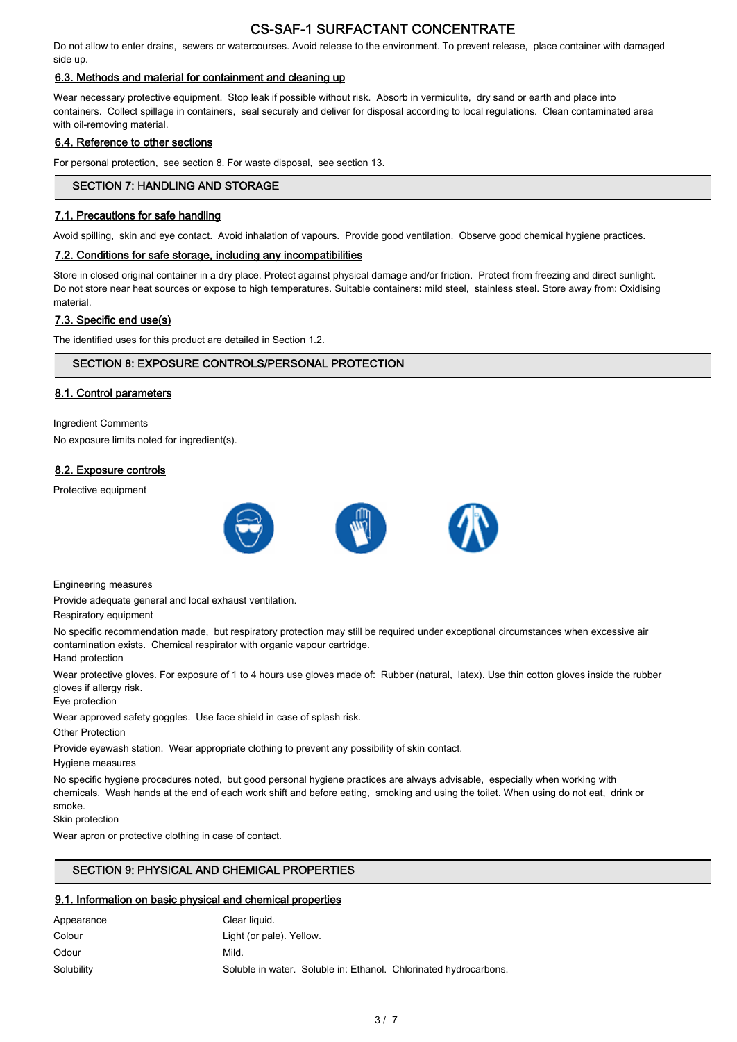Do not allow to enter drains, sewers or watercourses. Avoid release to the environment. To prevent release, place container with damaged side up.

## 6.3. Methods and material for containment and cleaning up

Wear necessary protective equipment. Stop leak if possible without risk. Absorb in vermiculite, dry sand or earth and place into containers. Collect spillage in containers, seal securely and deliver for disposal according to local regulations. Clean contaminated area with oil-removing material.

## 6.4. Reference to other sections

For personal protection, see section 8. For waste disposal, see section 13.

# SECTION 7: HANDLING AND STORAGE

## 7.1. Precautions for safe handling

Avoid spilling, skin and eye contact. Avoid inhalation of vapours. Provide good ventilation. Observe good chemical hygiene practices.

#### 7.2. Conditions for safe storage, including any incompatibilities

Store in closed original container in a dry place. Protect against physical damage and/or friction. Protect from freezing and direct sunlight. Do not store near heat sources or expose to high temperatures. Suitable containers: mild steel, stainless steel. Store away from: Oxidising material.

## 7.3. Specific end use(s)

The identified uses for this product are detailed in Section 1.2.

## SECTION 8: EXPOSURE CONTROLS/PERSONAL PROTECTION

## 8.1. Control parameters

Ingredient Comments No exposure limits noted for ingredient(s).

## 8.2. Exposure controls

Protective equipment



Engineering measures

Provide adequate general and local exhaust ventilation.

Respiratory equipment

No specific recommendation made, but respiratory protection may still be required under exceptional circumstances when excessive air contamination exists. Chemical respirator with organic vapour cartridge.

Hand protection

Wear protective gloves. For exposure of 1 to 4 hours use gloves made of: Rubber (natural, latex). Use thin cotton gloves inside the rubber gloves if allergy risk.

Eye protection

Wear approved safety goggles. Use face shield in case of splash risk.

Other Protection

Provide eyewash station. Wear appropriate clothing to prevent any possibility of skin contact.

Hygiene measures

No specific hygiene procedures noted, but good personal hygiene practices are always advisable, especially when working with chemicals. Wash hands at the end of each work shift and before eating, smoking and using the toilet. When using do not eat, drink or smoke.

Skin protection

Wear apron or protective clothing in case of contact.

## SECTION 9: PHYSICAL AND CHEMICAL PROPERTIES

## 9.1. Information on basic physical and chemical properties

| Appearance | Clear liquid.                                                    |
|------------|------------------------------------------------------------------|
| Colour     | Light (or pale). Yellow.                                         |
| Odour      | Mild.                                                            |
| Solubility | Soluble in water. Soluble in: Ethanol. Chlorinated hydrocarbons. |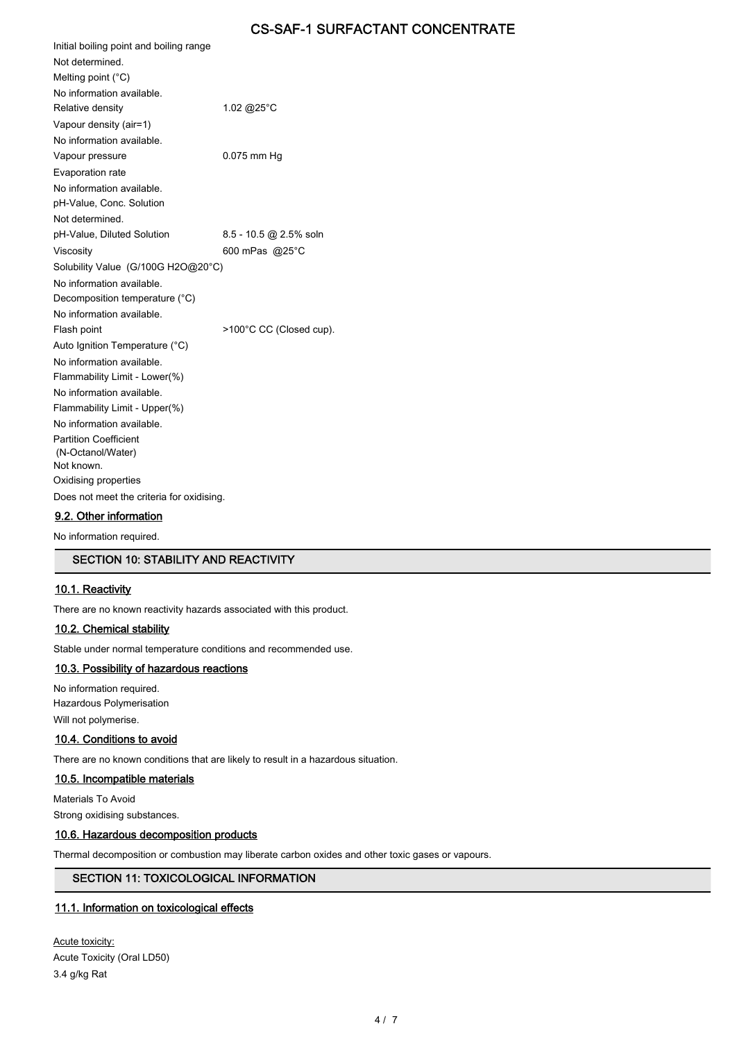| Initial boiling point and boiling range                           |                         |
|-------------------------------------------------------------------|-------------------------|
| Not determined.                                                   |                         |
| Melting point $(^{\circ}C)$                                       |                         |
| No information available.                                         |                         |
| Relative density                                                  | 1.02 @25°C              |
| Vapour density (air=1)                                            |                         |
| No information available.                                         |                         |
| Vapour pressure                                                   | $0.075$ mm Hg           |
| Evaporation rate                                                  |                         |
| No information available.                                         |                         |
| pH-Value, Conc. Solution                                          |                         |
| Not determined.                                                   |                         |
| pH-Value, Diluted Solution                                        | 8.5 - 10.5 @ 2.5% soln  |
| Viscosity                                                         | 600 mPas @25°C          |
| Solubility Value (G/100G H2O@20°C)                                |                         |
| No information available.                                         |                         |
| Decomposition temperature (°C)                                    |                         |
| No information available                                          |                         |
| Flash point                                                       | >100°C CC (Closed cup). |
| Auto Ignition Temperature (°C)                                    |                         |
| No information available.                                         |                         |
| Flammability Limit - Lower(%)                                     |                         |
| No information available.                                         |                         |
| Flammability Limit - Upper(%)                                     |                         |
| No information available.                                         |                         |
| <b>Partition Coefficient</b>                                      |                         |
| (N-Octanol/Water)<br>Not known.                                   |                         |
|                                                                   |                         |
| Oxidising properties<br>Does not meet the criteria for oxidising. |                         |
|                                                                   |                         |

## 9.2. Other information

No information required.

#### SECTION 10: STABILITY AND REACTIVITY

#### 10.1. Reactivity

There are no known reactivity hazards associated with this product.

#### 10.2. Chemical stability

Stable under normal temperature conditions and recommended use.

## 10.3. Possibility of hazardous reactions

No information required. Hazardous Polymerisation Will not polymerise.

#### 10.4. Conditions to avoid

There are no known conditions that are likely to result in a hazardous situation.

## 10.5. Incompatible materials

Materials To Avoid

Strong oxidising substances.

## 10.6. Hazardous decomposition products

Thermal decomposition or combustion may liberate carbon oxides and other toxic gases or vapours.

## SECTION 11: TOXICOLOGICAL INFORMATION

#### 11.1. Information on toxicological effects

Acute toxicity: Acute Toxicity (Oral LD50) 3.4 g/kg Rat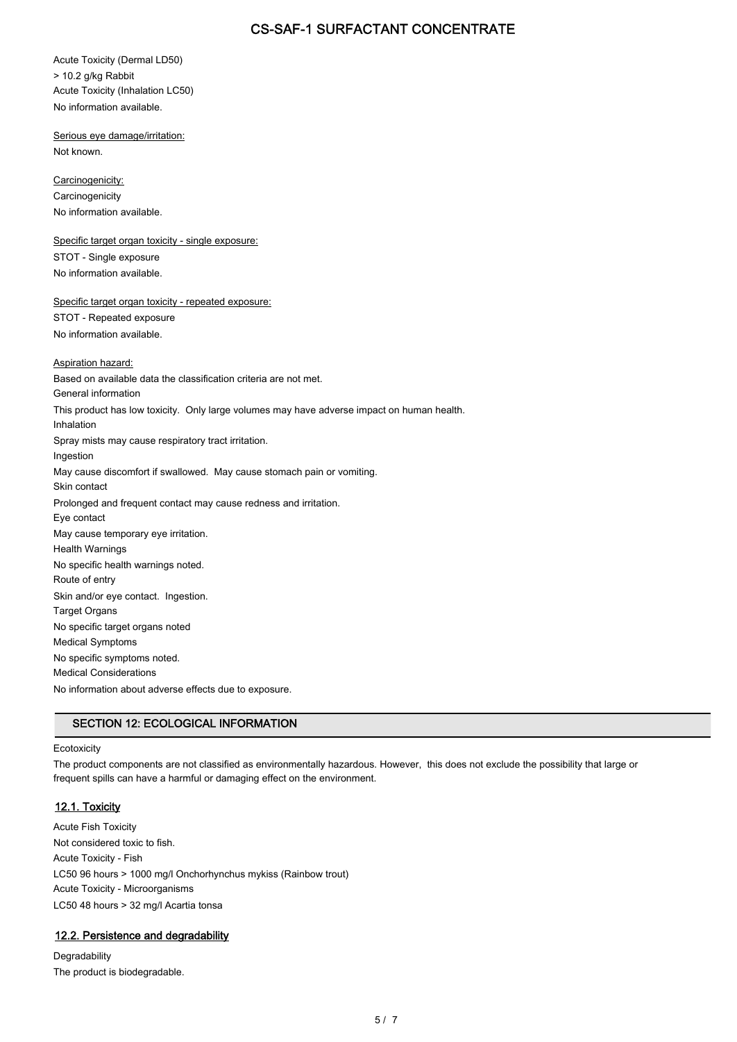Acute Toxicity (Dermal LD50) > 10.2 g/kg Rabbit Acute Toxicity (Inhalation LC50) No information available.

Serious eye damage/irritation: Not known.

Carcinogenicity: **Carcinogenicity** No information available.

Specific target organ toxicity - single exposure: STOT - Single exposure No information available.

Specific target organ toxicity - repeated exposure: STOT - Repeated exposure No information available.

#### Aspiration hazard:

Based on available data the classification criteria are not met. General information This product has low toxicity. Only large volumes may have adverse impact on human health. Inhalation Spray mists may cause respiratory tract irritation. Ingestion May cause discomfort if swallowed. May cause stomach pain or vomiting. Skin contact Prolonged and frequent contact may cause redness and irritation. Eye contact May cause temporary eye irritation. Health Warnings No specific health warnings noted. Route of entry Skin and/or eye contact. Ingestion. Target Organs No specific target organs noted Medical Symptoms No specific symptoms noted. Medical Considerations No information about adverse effects due to exposure.

## SECTION 12: ECOLOGICAL INFORMATION

#### **Ecotoxicity**

The product components are not classified as environmentally hazardous. However, this does not exclude the possibility that large or frequent spills can have a harmful or damaging effect on the environment.

## 12.1. Toxicity

Acute Fish Toxicity Not considered toxic to fish. Acute Toxicity - Fish LC50 96 hours > 1000 mg/l Onchorhynchus mykiss (Rainbow trout) Acute Toxicity - Microorganisms LC50 48 hours > 32 mg/l Acartia tonsa

#### 12.2. Persistence and degradability

Degradability The product is biodegradable.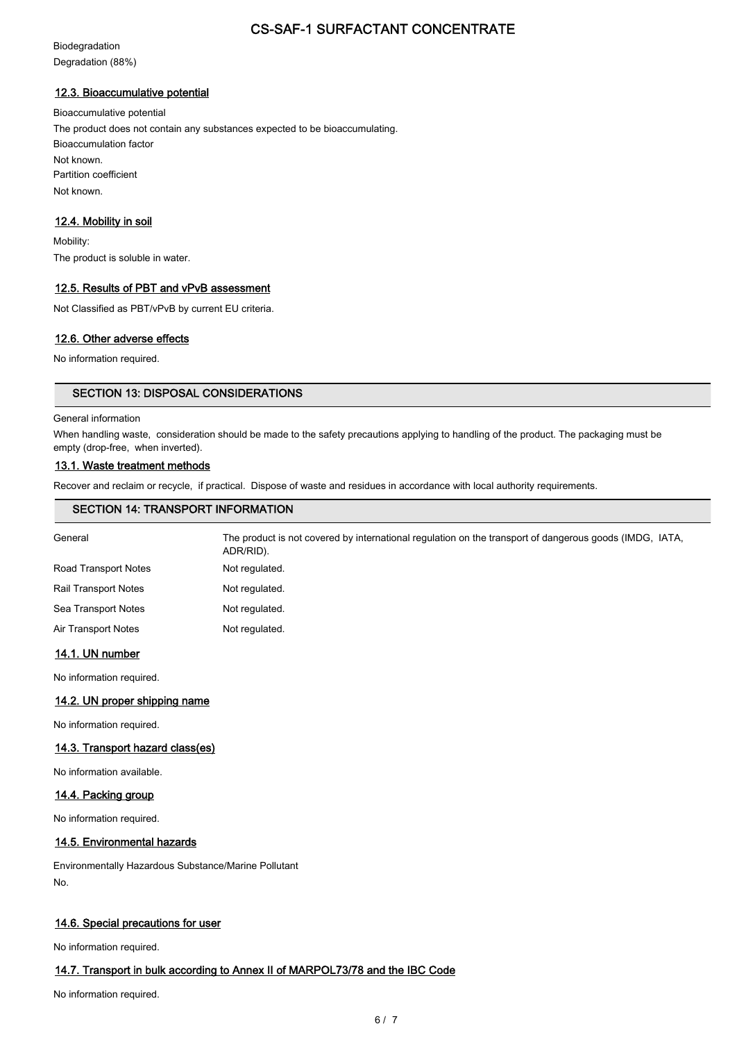Biodegradation Degradation (88%)

#### 12.3. Bioaccumulative potential

Bioaccumulative potential The product does not contain any substances expected to be bioaccumulating. Bioaccumulation factor Not known. Partition coefficient Not known.

## 12.4. Mobility in soil

Mobility: The product is soluble in water.

#### 12.5. Results of PBT and vPvB assessment

Not Classified as PBT/vPvB by current EU criteria.

## 12.6. Other adverse effects

No information required.

## SECTION 13: DISPOSAL CONSIDERATIONS

#### General information

When handling waste, consideration should be made to the safety precautions applying to handling of the product. The packaging must be empty (drop-free, when inverted).

#### 13.1. Waste treatment methods

Recover and reclaim or recycle, if practical. Dispose of waste and residues in accordance with local authority requirements.

| <b>SECTION 14: TRANSPORT INFORMATION</b>                                                                             |  |  |
|----------------------------------------------------------------------------------------------------------------------|--|--|
| The product is not covered by international regulation on the transport of dangerous goods (IMDG, IATA,<br>ADR/RID). |  |  |
| Not regulated.                                                                                                       |  |  |
| Not regulated.                                                                                                       |  |  |
| Not regulated.                                                                                                       |  |  |
| Not regulated.                                                                                                       |  |  |
|                                                                                                                      |  |  |

#### 14.1. UN number

No information required.

#### 14.2. UN proper shipping name

No information required.

#### 14.3. Transport hazard class(es)

No information available.

#### 14.4. Packing group

No information required.

## 14.5. Environmental hazards

Environmentally Hazardous Substance/Marine Pollutant No.

#### 14.6. Special precautions for user

No information required.

## 14.7. Transport in bulk according to Annex II of MARPOL73/78 and the IBC Code

No information required.